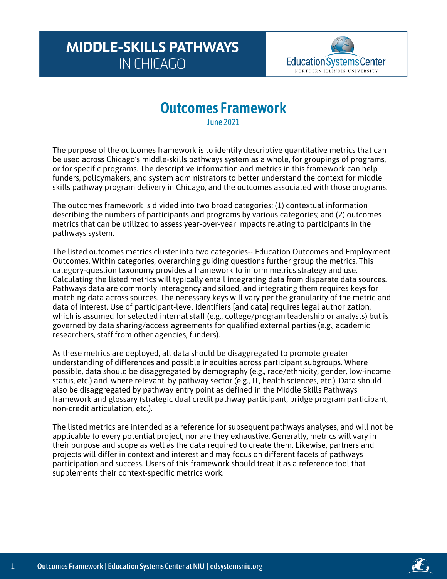## **MIDDLE-SKILLS PATHWAYS IN CHICAGO**



# **Outcomes Framework**

June 2021

The purpose of the outcomes framework is to identify descriptive quantitative metrics that can be used across Chicago's middle-skills pathways system as a whole, for groupings of programs, or for specific programs. The descriptive information and metrics in this framework can help funders, policymakers, and system administrators to better understand the context for middle skills pathway program delivery in Chicago, and the outcomes associated with those programs.

The outcomes framework is divided into two broad categories: (1) contextual information describing the numbers of participants and programs by various categories; and (2) outcomes metrics that can be utilized to assess year-over-year impacts relating to participants in the pathways system.

The listed outcomes metrics cluster into two categories-- Education Outcomes and Employment Outcomes. Within categories, overarching guiding questions further group the metrics. This category-question taxonomy provides a framework to inform metrics strategy and use. Calculating the listed metrics will typically entail integrating data from disparate data sources. Pathways data are commonly interagency and siloed, and integrating them requires keys for matching data across sources. The necessary keys will vary per the granularity of the metric and data of interest. Use of participant-level identifiers [and data] requires legal authorization, which is assumed for selected internal staff (e.g., college/program leadership or analysts) but is governed by data sharing/access agreements for qualified external parties (e.g., academic researchers, staff from other agencies, funders).

As these metrics are deployed, all data should be disaggregated to promote greater understanding of differences and possible inequities across participant subgroups. Where possible, data should be disaggregated by demography (e.g., race/ethnicity, gender, low-income status, etc.) and, where relevant, by pathway sector (e.g., IT, health sciences, etc.). Data should also be disaggregated by pathway entry point as defined in the Middle Skills Pathways framework and glossary (strategic dual credit pathway participant, bridge program participant, non-credit articulation, etc.).

The listed metrics are intended as a reference for subsequent pathways analyses, and will not be applicable to every potential project, nor are they exhaustive. Generally, metrics will vary in their purpose and scope as well as the data required to create them. Likewise, partners and projects will differ in context and interest and may focus on different facets of pathways participation and success. Users of this framework should treat it as a reference tool that supplements their context-specific metrics work.

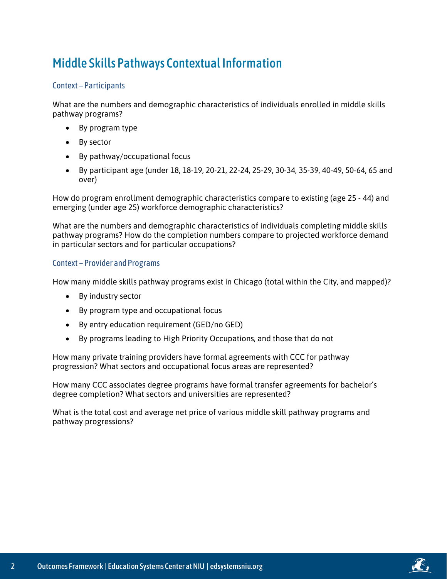### Middle Skills Pathways Contextual Information

#### Context – Participants

What are the numbers and demographic characteristics of individuals enrolled in middle skills pathway programs?

- By program type
- By sector
- By pathway/occupational focus
- By participant age (under 18, 18-19, 20-21, 22-24, 25-29, 30-34, 35-39, 40-49, 50-64, 65 and over)

How do program enrollment demographic characteristics compare to existing (age 25 - 44) and emerging (under age 25) workforce demographic characteristics?

What are the numbers and demographic characteristics of individuals completing middle skills pathway programs? How do the completion numbers compare to projected workforce demand in particular sectors and for particular occupations?

#### Context – Provider and Programs

How many middle skills pathway programs exist in Chicago (total within the City, and mapped)?

- By industry sector
- By program type and occupational focus
- By entry education requirement (GED/no GED)
- By programs leading to High Priority Occupations, and those that do not

How many private training providers have formal agreements with CCC for pathway progression? What sectors and occupational focus areas are represented?

How many CCC associates degree programs have formal transfer agreements for bachelor's degree completion? What sectors and universities are represented?

What is the total cost and average net price of various middle skill pathway programs and pathway progressions?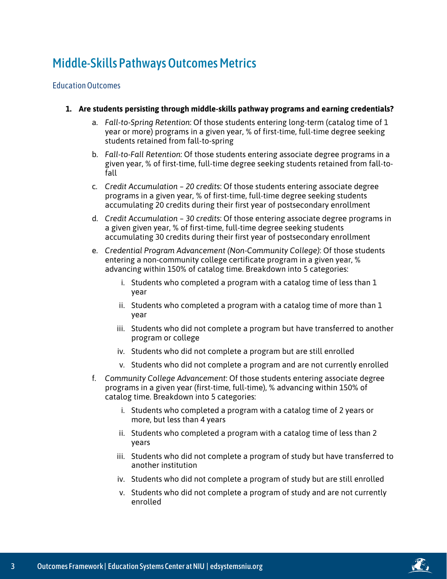### Middle-Skills Pathways Outcomes Metrics

#### Education Outcomes

- **1. Are students persisting through middle-skills pathway programs and earning credentials?**
	- a. *Fall-to-Spring Retention*: Of those students entering long-term (catalog time of 1 year or more) programs in a given year, % of first-time, full-time degree seeking students retained from fall-to-spring
	- b. *Fall-to-Fall Retention*: Of those students entering associate degree programs in a given year, % of first-time, full-time degree seeking students retained from fall-tofall
	- c. *Credit Accumulation – 20 credits*: Of those students entering associate degree programs in a given year, % of first-time, full-time degree seeking students accumulating 20 credits during their first year of postsecondary enrollment
	- d. *Credit Accumulation – 30 credits*: Of those entering associate degree programs in a given given year, % of first-time, full-time degree seeking students accumulating 30 credits during their first year of postsecondary enrollment
	- e. *Credential Program Advancement (Non-Community College)*: Of those students entering a non-community college certificate program in a given year, % advancing within 150% of catalog time. Breakdown into 5 categories:
		- i. Students who completed a program with a catalog time of less than 1 year
		- ii. Students who completed a program with a catalog time of more than 1 year
		- iii. Students who did not complete a program but have transferred to another program or college
		- iv. Students who did not complete a program but are still enrolled
		- v. Students who did not complete a program and are not currently enrolled
	- f. *Community College Advancement*: Of those students entering associate degree programs in a given year (first-time, full-time), % advancing within 150% of catalog time. Breakdown into 5 categories:
		- i. Students who completed a program with a catalog time of 2 years or more, but less than 4 years
		- ii. Students who completed a program with a catalog time of less than 2 years
		- iii. Students who did not complete a program of study but have transferred to another institution
		- iv. Students who did not complete a program of study but are still enrolled
		- v. Students who did not complete a program of study and are not currently enrolled

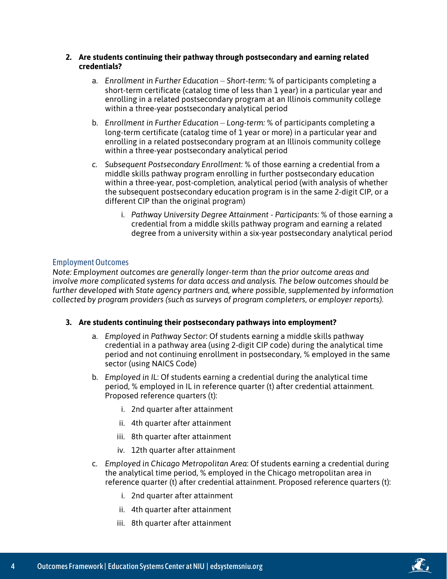#### **2. Are students continuing their pathway through postsecondary and earning related credentials?**

- a. *Enrollment in Further Education – Short-term:* % of participants completing a short-term certificate (catalog time of less than 1 year) in a particular year and enrolling in a related postsecondary program at an Illinois community college within a three-year postsecondary analytical period
- b. *Enrollment in Further Education – Long-term:* % of participants completing a long-term certificate (catalog time of 1 year or more) in a particular year and enrolling in a related postsecondary program at an Illinois community college within a three-year postsecondary analytical period
- *c. Subsequent Postsecondary Enrollment:* % of those earning a credential from a middle skills pathway program enrolling in further postsecondary education within a three-year, post-completion, analytical period (with analysis of whether the subsequent postsecondary education program is in the same 2-digit CIP, or a different CIP than the original program)
	- i. *Pathway University Degree Attainment - Participants:* % of those earning a credential from a middle skills pathway program and earning a related degree from a university within a six-year postsecondary analytical period

#### Employment Outcomes

*Note: Employment outcomes are generally longer-term than the prior outcome areas and involve more complicated systems for data access and analysis. The below outcomes should be further developed with State agency partners and, where possible, supplemented by information collected by program providers (such as surveys of program completers, or employer reports).*

#### **3. Are students continuing their postsecondary pathways into employment?**

- a. *Employed in Pathway Sector*: Of students earning a middle skills pathway credential in a pathway area (using 2-digit CIP code) during the analytical time period and not continuing enrollment in postsecondary, % employed in the same sector (using NAICS Code)
- b. *Employed in IL*: Of students earning a credential during the analytical time period, % employed in IL in reference quarter (t) after credential attainment. Proposed reference quarters (t):
	- i. 2nd quarter after attainment
	- ii. 4th quarter after attainment
	- iii. 8th quarter after attainment
	- iv. 12th quarter after attainment
- c. *Employed in Chicago Metropolitan Area*: Of students earning a credential during the analytical time period, % employed in the Chicago metropolitan area in reference quarter (t) after credential attainment. Proposed reference quarters (t):
	- i. 2nd quarter after attainment
	- ii. 4th quarter after attainment
	- iii. 8th quarter after attainment